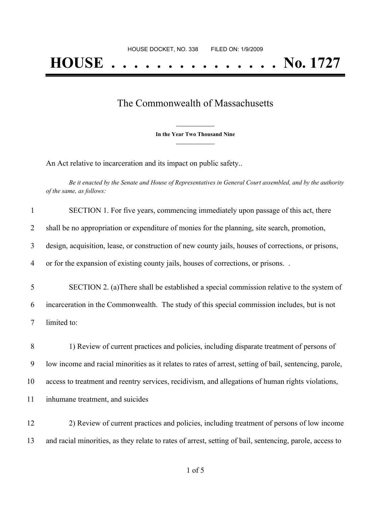## The Commonwealth of Massachusetts

**\_\_\_\_\_\_\_\_\_\_\_\_\_\_\_ In the Year Two Thousand Nine \_\_\_\_\_\_\_\_\_\_\_\_\_\_\_**

An Act relative to incarceration and its impact on public safety..

Be it enacted by the Senate and House of Representatives in General Court assembled, and by the authority *of the same, as follows:*

| $\mathbf{1}$   | SECTION 1. For five years, commencing immediately upon passage of this act, there                        |
|----------------|----------------------------------------------------------------------------------------------------------|
| $\overline{2}$ | shall be no appropriation or expenditure of monies for the planning, site search, promotion,             |
| 3              | design, acquisition, lease, or construction of new county jails, houses of corrections, or prisons,      |
| $\overline{4}$ | or for the expansion of existing county jails, houses of corrections, or prisons                         |
| 5              | SECTION 2. (a) There shall be established a special commission relative to the system of                 |
| 6              | incarceration in the Commonwealth. The study of this special commission includes, but is not             |
| $\tau$         | limited to:                                                                                              |
| 8              | 1) Review of current practices and policies, including disparate treatment of persons of                 |
| 9              | low income and racial minorities as it relates to rates of arrest, setting of bail, sentencing, parole,  |
| 10             | access to treatment and reentry services, recidivism, and allegations of human rights violations,        |
| 11             | inhumane treatment, and suicides                                                                         |
| 12             | 2) Review of current practices and policies, including treatment of persons of low income                |
| 13             | and racial minorities, as they relate to rates of arrest, setting of bail, sentencing, parole, access to |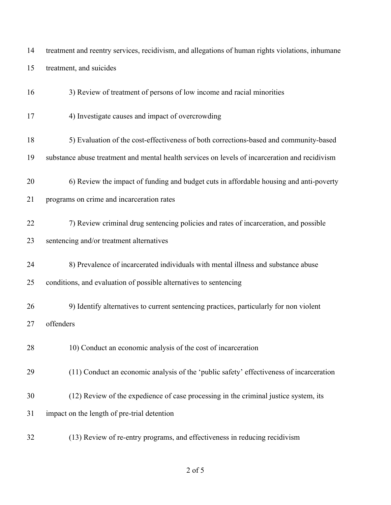treatment and reentry services, recidivism, and allegations of human rights violations, inhumane treatment, and suicides

3) Review of treatment of persons of low income and racial minorities

- 4) Investigate causes and impact of overcrowding
- 5) Evaluation of the cost-effectiveness of both corrections-based and community-based
- substance abuse treatment and mental health services on levels of incarceration and recidivism
- 6) Review the impact of funding and budget cuts in affordable housing and anti-poverty
- programs on crime and incarceration rates
- 22 7) Review criminal drug sentencing policies and rates of incarceration, and possible sentencing and/or treatment alternatives
- 
- 8) Prevalence of incarcerated individuals with mental illness and substance abuse conditions, and evaluation of possible alternatives to sentencing
- 9) Identify alternatives to current sentencing practices, particularly for non violent offenders
- 28 10) Conduct an economic analysis of the cost of incarceration
- (11) Conduct an economic analysis of the 'public safety' effectiveness of incarceration
- (12) Review of the expedience of case processing in the criminal justice system, its
- impact on the length of pre-trial detention
- (13) Review of re-entry programs, and effectiveness in reducing recidivism

of 5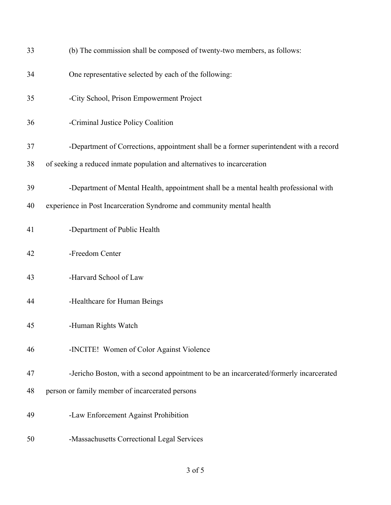| 33 | (b) The commission shall be composed of twenty-two members, as follows:                |
|----|----------------------------------------------------------------------------------------|
| 34 | One representative selected by each of the following:                                  |
| 35 | -City School, Prison Empowerment Project                                               |
| 36 | -Criminal Justice Policy Coalition                                                     |
| 37 | -Department of Corrections, appointment shall be a former superintendent with a record |
| 38 | of seeking a reduced inmate population and alternatives to incarceration               |
| 39 | -Department of Mental Health, appointment shall be a mental health professional with   |
| 40 | experience in Post Incarceration Syndrome and community mental health                  |
| 41 | -Department of Public Health                                                           |
| 42 | -Freedom Center                                                                        |
| 43 | -Harvard School of Law                                                                 |
| 44 | -Healthcare for Human Beings                                                           |
| 45 | -Human Rights Watch                                                                    |
| 46 | -INCITE! Women of Color Against Violence                                               |
| 47 | -Jericho Boston, with a second appointment to be an incarcerated/formerly incarcerated |
| 48 | person or family member of incarcerated persons                                        |
| 49 | -Law Enforcement Against Prohibition                                                   |
| 50 | -Massachusetts Correctional Legal Services                                             |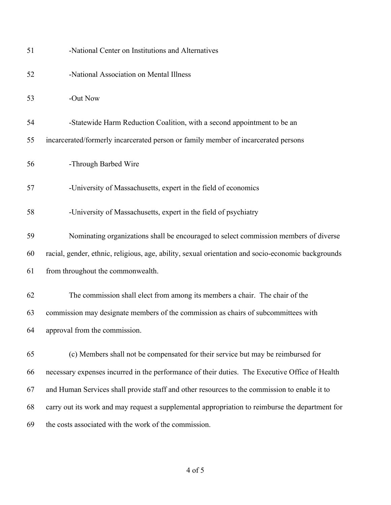| 51 | -National Center on Institutions and Alternatives                                                  |
|----|----------------------------------------------------------------------------------------------------|
| 52 | -National Association on Mental Illness                                                            |
| 53 | -Out Now                                                                                           |
| 54 | -Statewide Harm Reduction Coalition, with a second appointment to be an                            |
| 55 | incarcerated/formerly incarcerated person or family member of incarcerated persons                 |
| 56 | -Through Barbed Wire                                                                               |
| 57 | -University of Massachusetts, expert in the field of economics                                     |
| 58 | -University of Massachusetts, expert in the field of psychiatry                                    |
| 59 | Nominating organizations shall be encouraged to select commission members of diverse               |
| 60 | racial, gender, ethnic, religious, age, ability, sexual orientation and socio-economic backgrounds |
| 61 | from throughout the commonwealth.                                                                  |
| 62 | The commission shall elect from among its members a chair. The chair of the                        |
| 63 | commission may designate members of the commission as chairs of subcommittees with                 |
| 64 | approval from the commission.                                                                      |
| 65 | (c) Members shall not be compensated for their service but may be reimbursed for                   |
| 66 | necessary expenses incurred in the performance of their duties. The Executive Office of Health     |
| 67 | and Human Services shall provide staff and other resources to the commission to enable it to       |
| 68 | carry out its work and may request a supplemental appropriation to reimburse the department for    |
| 69 | the costs associated with the work of the commission.                                              |